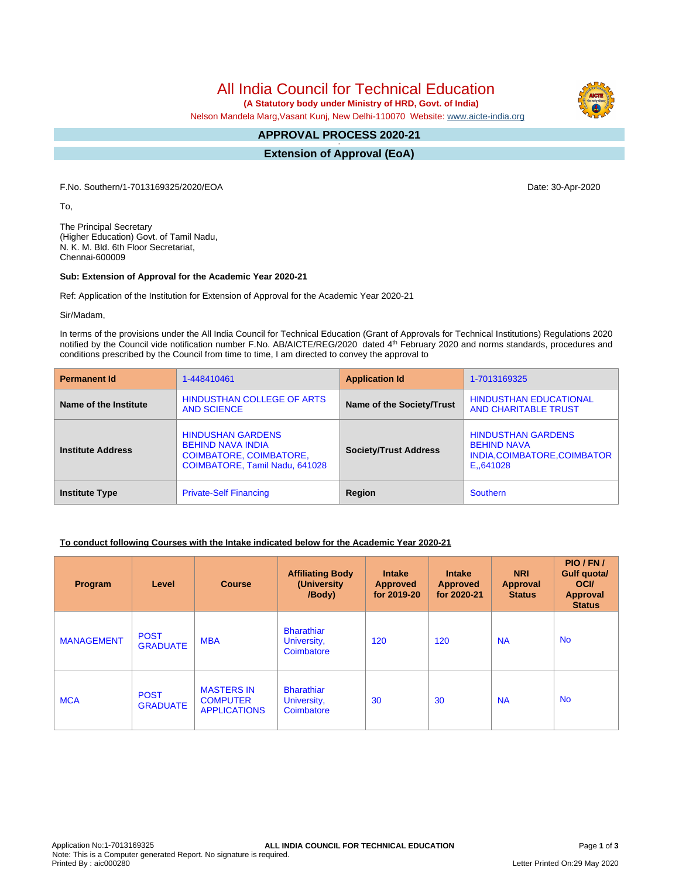All India Council for Technical Education

 **(A Statutory body under Ministry of HRD, Govt. of India)**

Nelson Mandela Marg,Vasant Kunj, New Delhi-110070 Website: [www.aicte-india.org](http://www.aicte-india.org)

#### **APPROVAL PROCESS 2020-21 -**

**Extension of Approval (EoA)**

F.No. Southern/1-7013169325/2020/EOA Date: 30-Apr-2020

To,

The Principal Secretary (Higher Education) Govt. of Tamil Nadu, N. K. M. Bld. 6th Floor Secretariat, Chennai-600009

#### **Sub: Extension of Approval for the Academic Year 2020-21**

Ref: Application of the Institution for Extension of Approval for the Academic Year 2020-21

Sir/Madam,

In terms of the provisions under the All India Council for Technical Education (Grant of Approvals for Technical Institutions) Regulations 2020 notified by the Council vide notification number F.No. AB/AICTE/REG/2020 dated 4<sup>th</sup> February 2020 and norms standards, procedures and conditions prescribed by the Council from time to time, I am directed to convey the approval to

| <b>Permanent Id</b>      | 1-448410461                                                                                                              | <b>Application Id</b>        | 1-7013169325                                                                                |  |
|--------------------------|--------------------------------------------------------------------------------------------------------------------------|------------------------------|---------------------------------------------------------------------------------------------|--|
| Name of the Institute    | HINDUSTHAN COLLEGE OF ARTS<br><b>AND SCIENCE</b>                                                                         | Name of the Society/Trust    | <b>HINDUSTHAN EDUCATIONAL</b><br><b>AND CHARITABLE TRUST</b>                                |  |
| <b>Institute Address</b> | <b>HINDUSHAN GARDENS</b><br><b>BEHIND NAVA INDIA</b><br><b>COIMBATORE, COIMBATORE,</b><br>COIMBATORE, Tamil Nadu, 641028 | <b>Society/Trust Address</b> | <b>HINDUSTHAN GARDENS</b><br><b>BEHIND NAVA</b><br>INDIA, COIMBATORE, COIMBATOR<br>E.641028 |  |
| <b>Institute Type</b>    | <b>Private-Self Financing</b>                                                                                            | Region                       | <b>Southern</b>                                                                             |  |

## **To conduct following Courses with the Intake indicated below for the Academic Year 2020-21**

| Program           | Level                          | <b>Course</b>                                               | <b>Affiliating Body</b><br>(University<br>/Body) | <b>Intake</b><br><b>Approved</b><br>for 2019-20 | <b>Intake</b><br><b>Approved</b><br>for 2020-21 | <b>NRI</b><br>Approval<br><b>Status</b> | PIO/FN/<br>Gulf quota/<br><b>OCI</b><br><b>Approval</b><br><b>Status</b> |
|-------------------|--------------------------------|-------------------------------------------------------------|--------------------------------------------------|-------------------------------------------------|-------------------------------------------------|-----------------------------------------|--------------------------------------------------------------------------|
| <b>MANAGEMENT</b> | <b>POST</b><br><b>GRADUATE</b> | <b>MBA</b>                                                  | <b>Bharathiar</b><br>University,<br>Coimbatore   | 120                                             | 120                                             | <b>NA</b>                               | <b>No</b>                                                                |
| <b>MCA</b>        | <b>POST</b><br><b>GRADUATE</b> | <b>MASTERS IN</b><br><b>COMPUTER</b><br><b>APPLICATIONS</b> | <b>Bharathiar</b><br>University,<br>Coimbatore   | 30                                              | 30                                              | <b>NA</b>                               | <b>No</b>                                                                |



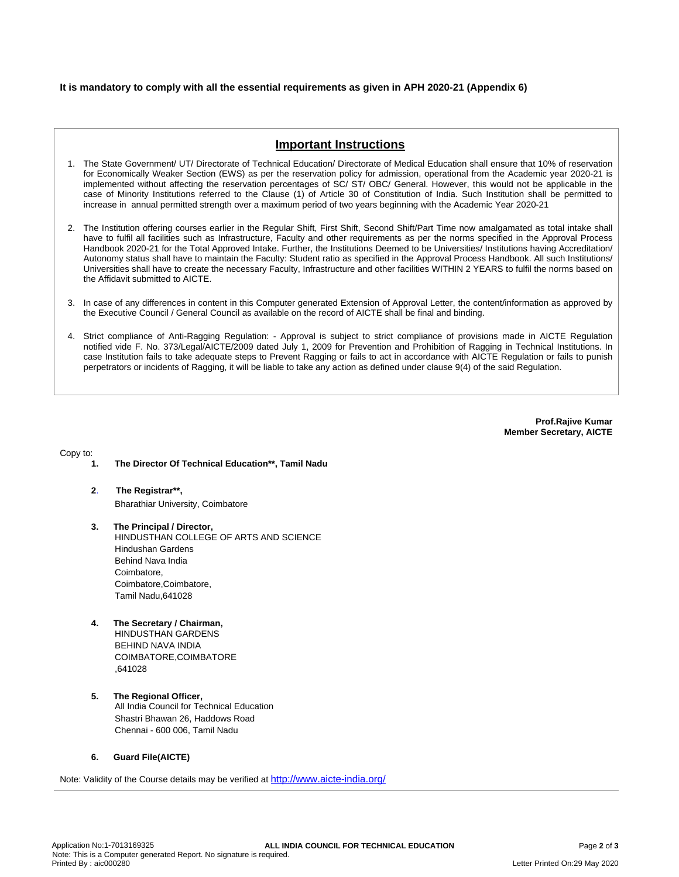## **It is mandatory to comply with all the essential requirements as given in APH 2020-21 (Appendix 6)**

# **Important Instructions**

- 1. The State Government/ UT/ Directorate of Technical Education/ Directorate of Medical Education shall ensure that 10% of reservation for Economically Weaker Section (EWS) as per the reservation policy for admission, operational from the Academic year 2020-21 is implemented without affecting the reservation percentages of SC/ ST/ OBC/ General. However, this would not be applicable in the case of Minority Institutions referred to the Clause (1) of Article 30 of Constitution of India. Such Institution shall be permitted to increase in annual permitted strength over a maximum period of two years beginning with the Academic Year 2020-21
- 2. The Institution offering courses earlier in the Regular Shift, First Shift, Second Shift/Part Time now amalgamated as total intake shall have to fulfil all facilities such as Infrastructure, Faculty and other requirements as per the norms specified in the Approval Process Handbook 2020-21 for the Total Approved Intake. Further, the Institutions Deemed to be Universities/ Institutions having Accreditation/ Autonomy status shall have to maintain the Faculty: Student ratio as specified in the Approval Process Handbook. All such Institutions/ Universities shall have to create the necessary Faculty, Infrastructure and other facilities WITHIN 2 YEARS to fulfil the norms based on the Affidavit submitted to AICTE.
- 3. In case of any differences in content in this Computer generated Extension of Approval Letter, the content/information as approved by the Executive Council / General Council as available on the record of AICTE shall be final and binding.
- 4. Strict compliance of Anti-Ragging Regulation: Approval is subject to strict compliance of provisions made in AICTE Regulation notified vide F. No. 373/Legal/AICTE/2009 dated July 1, 2009 for Prevention and Prohibition of Ragging in Technical Institutions. In case Institution fails to take adequate steps to Prevent Ragging or fails to act in accordance with AICTE Regulation or fails to punish perpetrators or incidents of Ragging, it will be liable to take any action as defined under clause 9(4) of the said Regulation.

**Prof.Rajive Kumar Member Secretary, AICTE**

Copy to:

- **1. The Director Of Technical Education\*\*, Tamil Nadu**
- **2**. **The Registrar\*\*,** Bharathiar University, Coimbatore
- **3. The Principal / Director,** HINDUSTHAN COLLEGE OF ARTS AND SCIENCE Hindushan Gardens Behind Nava India Coimbatore, Coimbatore,Coimbatore, Tamil Nadu,641028
- **4. The Secretary / Chairman,** HINDUSTHAN GARDENS BEHIND NAVA INDIA COIMBATORE,COIMBATORE ,641028
- **5. The Regional Officer,** All India Council for Technical Education Shastri Bhawan 26, Haddows Road Chennai - 600 006, Tamil Nadu

## **6. Guard File(AICTE)**

Note: Validity of the Course details may be verified at <http://www.aicte-india.org/>